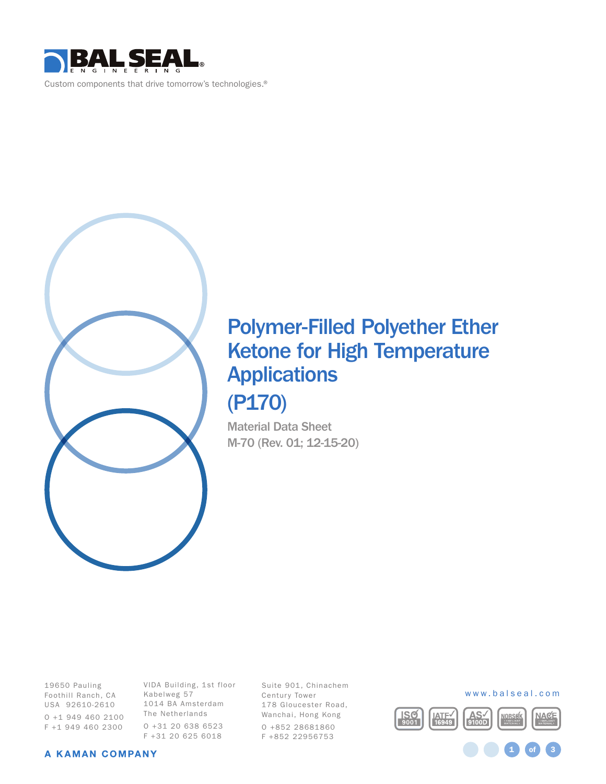



# Polymer-Filled Polyether Ether Ketone for High Temperature **Applications** (P170)

Material Data Sheet M-70 (Rev. 01; 12-15-20)

19650 Pauling Foothill Ranch, CA USA 92610-2610 O +1 949 460 2100 F +1 949 460 2300

VIDA Building, 1st floor Kabelweg 57 1014 BA Amsterdam The Netherlands O +31 20 638 6523 F +31 20 625 6018

Suite 901, Chinachem Century Tower 178 Gloucester Road, Wanchai, Hong Kong O +852 28681860 F +852 22956753



1 **of** 3

#### A KAMAN COMPANY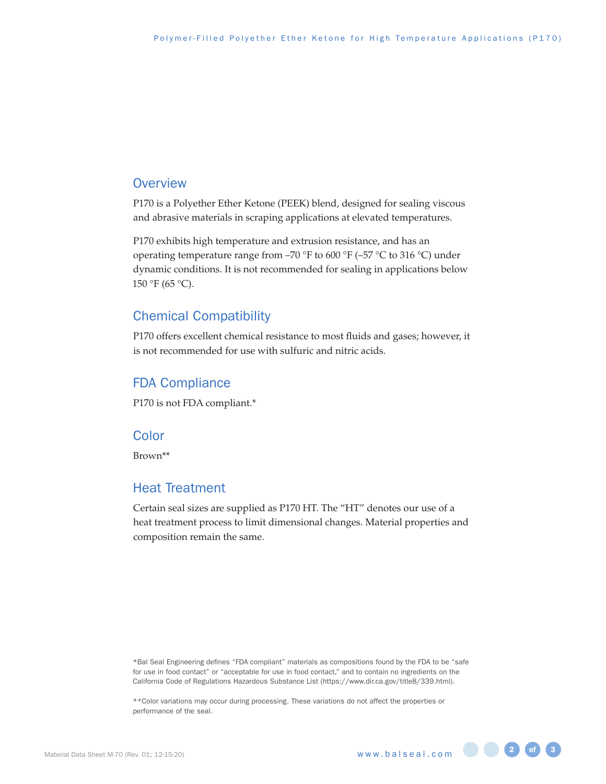#### **Overview**

P170 is a Polyether Ether Ketone (PEEK) blend, designed for sealing viscous and abrasive materials in scraping applications at elevated temperatures.

P170 exhibits high temperature and extrusion resistance, and has an operating temperature range from –70 °F to 600 °F (–57 °C to 316 °C) under dynamic conditions. It is not recommended for sealing in applications below 150 °F (65 °C).

## Chemical Compatibility

P170 offers excellent chemical resistance to most fluids and gases; however, it is not recommended for use with sulfuric and nitric acids.

#### FDA Compliance

P170 is not FDA compliant.\*

#### **Color**

Brown\*\*

#### Heat Treatment

Certain seal sizes are supplied as P170 HT. The "HT" denotes our use of a heat treatment process to limit dimensional changes. Material properties and composition remain the same.

\*Bal Seal Engineering defines "FDA compliant" materials as compositions found by the FDA to be "safe for use in food contact" or "acceptable for use in food contact," and to contain no ingredients on the California Code of Regulations Hazardous Substance List (https://www.dir.ca.gov/title8/339.html).

\*\*Color variations may occur during processing. These variations do not affect the properties or performance of the seal.